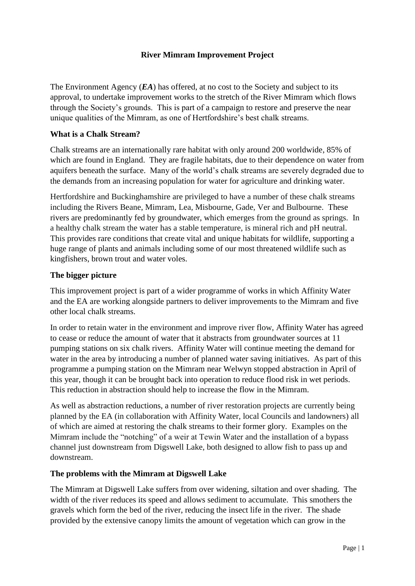# **River Mimram Improvement Project**

The Environment Agency (*EA*) has offered, at no cost to the Society and subject to its approval, to undertake improvement works to the stretch of the River Mimram which flows through the Society's grounds. This is part of a campaign to restore and preserve the near unique qualities of the Mimram, as one of Hertfordshire's best chalk streams.

## **What is a Chalk Stream?**

Chalk streams are an internationally rare habitat with only around 200 worldwide, 85% of which are found in England. They are fragile habitats, due to their dependence on water from aquifers beneath the surface. Many of the world's chalk streams are severely degraded due to the demands from an increasing population for water for agriculture and drinking water.

Hertfordshire and Buckinghamshire are privileged to have a number of these chalk streams including the Rivers Beane, Mimram, Lea, Misbourne, Gade, Ver and Bulbourne. These rivers are predominantly fed by groundwater, which emerges from the ground as springs. In a healthy chalk stream the water has a stable temperature, is mineral rich and pH neutral. This provides rare conditions that create vital and unique habitats for wildlife, supporting a huge range of plants and animals including some of our most threatened wildlife such as kingfishers, brown trout and water voles.

## **The bigger picture**

This improvement project is part of a wider programme of works in which Affinity Water and the EA are working alongside partners to deliver improvements to the Mimram and five other local chalk streams.

In order to retain water in the environment and improve river flow, Affinity Water has agreed to cease or reduce the amount of water that it abstracts from groundwater sources at 11 pumping stations on six chalk rivers. Affinity Water will continue meeting the demand for water in the area by introducing a number of planned water saving initiatives. As part of this programme a pumping station on the Mimram near Welwyn stopped abstraction in April of this year, though it can be brought back into operation to reduce flood risk in wet periods. This reduction in abstraction should help to increase the flow in the Mimram.

As well as abstraction reductions, a number of river restoration projects are currently being planned by the EA (in collaboration with Affinity Water, local Councils and landowners) all of which are aimed at restoring the chalk streams to their former glory. Examples on the Mimram include the "notching" of a weir at Tewin Water and the installation of a bypass channel just downstream from Digswell Lake, both designed to allow fish to pass up and downstream.

#### **The problems with the Mimram at Digswell Lake**

The Mimram at Digswell Lake suffers from over widening, siltation and over shading. The width of the river reduces its speed and allows sediment to accumulate. This smothers the gravels which form the bed of the river, reducing the insect life in the river. The shade provided by the extensive canopy limits the amount of vegetation which can grow in the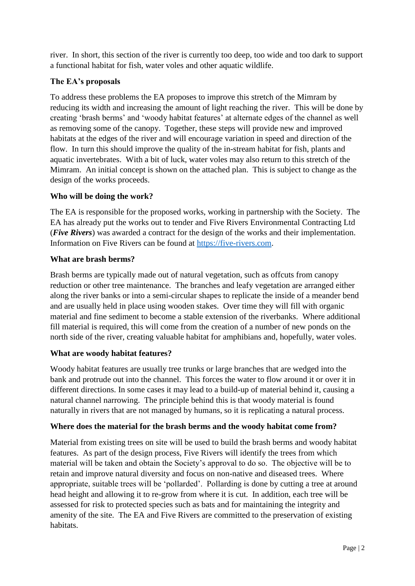river. In short, this section of the river is currently too deep, too wide and too dark to support a functional habitat for fish, water voles and other aquatic wildlife.

## **The EA's proposals**

To address these problems the EA proposes to improve this stretch of the Mimram by reducing its width and increasing the amount of light reaching the river. This will be done by creating 'brash berms' and 'woody habitat features' at alternate edges of the channel as well as removing some of the canopy. Together, these steps will provide new and improved habitats at the edges of the river and will encourage variation in speed and direction of the flow. In turn this should improve the quality of the in-stream habitat for fish, plants and aquatic invertebrates. With a bit of luck, water voles may also return to this stretch of the Mimram. An initial concept is shown on the attached plan. This is subject to change as the design of the works proceeds.

## **Who will be doing the work?**

The EA is responsible for the proposed works, working in partnership with the Society. The EA has already put the works out to tender and Five Rivers Environmental Contracting Ltd (*Five Rivers*) was awarded a contract for the design of the works and their implementation. Information on Five Rivers can be found at [https://five-rivers.com.](https://five-rivers.com/)

#### **What are brash berms?**

Brash berms are typically made out of natural vegetation, such as offcuts from canopy reduction or other tree maintenance. The branches and leafy vegetation are arranged either along the river banks or into a semi-circular shapes to replicate the inside of a meander bend and are usually held in place using wooden stakes. Over time they will fill with organic material and fine sediment to become a stable extension of the riverbanks. Where additional fill material is required, this will come from the creation of a number of new ponds on the north side of the river, creating valuable habitat for amphibians and, hopefully, water voles.

#### **What are woody habitat features?**

Woody habitat features are usually tree trunks or large branches that are wedged into the bank and protrude out into the channel. This forces the water to flow around it or over it in different directions. In some cases it may lead to a build-up of material behind it, causing a natural channel narrowing. The principle behind this is that woody material is found naturally in rivers that are not managed by humans, so it is replicating a natural process.

# **Where does the material for the brash berms and the woody habitat come from?**

Material from existing trees on site will be used to build the brash berms and woody habitat features. As part of the design process, Five Rivers will identify the trees from which material will be taken and obtain the Society's approval to do so. The objective will be to retain and improve natural diversity and focus on non-native and diseased trees. Where appropriate, suitable trees will be 'pollarded'. Pollarding is done by cutting a tree at around head height and allowing it to re-grow from where it is cut. In addition, each tree will be assessed for risk to protected species such as bats and for maintaining the integrity and amenity of the site. The EA and Five Rivers are committed to the preservation of existing habitats.